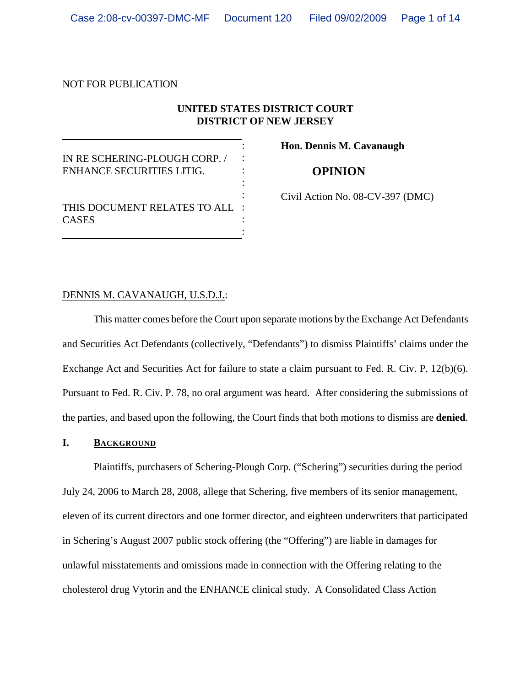# NOT FOR PUBLICATION

**CASES** 

# **UNITED STATES DISTRICT COURT DISTRICT OF NEW JERSEY**

: : : : :

> : :

IN RE SCHERING-PLOUGH CORP. / ENHANCE SECURITIES LITIG.

THIS DOCUMENT RELATES TO ALL :

**Hon. Dennis M. Cavanaugh**

**OPINION**

Civil Action No. 08-CV-397 (DMC)

## DENNIS M. CAVANAUGH, U.S.D.J.:

This matter comes before the Court upon separate motions by the Exchange Act Defendants and Securities Act Defendants (collectively, "Defendants") to dismiss Plaintiffs' claims under the Exchange Act and Securities Act for failure to state a claim pursuant to Fed. R. Civ. P. 12(b)(6). Pursuant to Fed. R. Civ. P. 78, no oral argument was heard. After considering the submissions of the parties, and based upon the following, the Court finds that both motions to dismiss are **denied**.

# **I. BACKGROUND**

Plaintiffs, purchasers of Schering-Plough Corp. ("Schering") securities during the period July 24, 2006 to March 28, 2008, allege that Schering, five members of its senior management, eleven of its current directors and one former director, and eighteen underwriters that participated in Schering's August 2007 public stock offering (the "Offering") are liable in damages for unlawful misstatements and omissions made in connection with the Offering relating to the cholesterol drug Vytorin and the ENHANCE clinical study. A Consolidated Class Action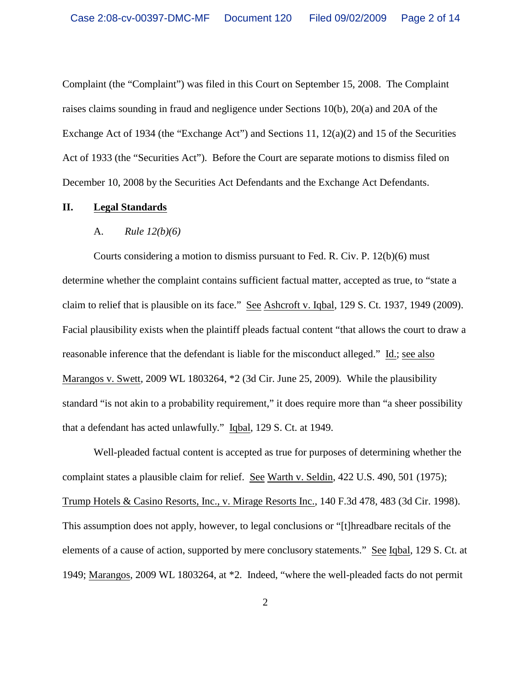Complaint (the "Complaint") was filed in this Court on September 15, 2008. The Complaint raises claims sounding in fraud and negligence under Sections 10(b), 20(a) and 20A of the Exchange Act of 1934 (the "Exchange Act") and Sections 11, 12(a)(2) and 15 of the Securities Act of 1933 (the "Securities Act"). Before the Court are separate motions to dismiss filed on December 10, 2008 by the Securities Act Defendants and the Exchange Act Defendants.

## **II. Legal Standards**

#### A. *Rule 12(b)(6)*

Courts considering a motion to dismiss pursuant to Fed. R. Civ. P. 12(b)(6) must determine whether the complaint contains sufficient factual matter, accepted as true, to "state a claim to relief that is plausible on its face." See Ashcroft v. Iqbal, 129 S. Ct. 1937, 1949 (2009). Facial plausibility exists when the plaintiff pleads factual content "that allows the court to draw a reasonable inference that the defendant is liable for the misconduct alleged." Id.; see also Marangos v. Swett, 2009 WL 1803264, \*2 (3d Cir. June 25, 2009). While the plausibility standard "is not akin to a probability requirement," it does require more than "a sheer possibility that a defendant has acted unlawfully." Iqbal, 129 S. Ct. at 1949.

Well-pleaded factual content is accepted as true for purposes of determining whether the complaint states a plausible claim for relief. See Warth v. Seldin, 422 U.S. 490, 501 (1975); Trump Hotels & Casino Resorts, Inc., v. Mirage Resorts Inc., 140 F.3d 478, 483 (3d Cir. 1998). This assumption does not apply, however, to legal conclusions or "[t]hreadbare recitals of the elements of a cause of action, supported by mere conclusory statements." See Iqbal, 129 S. Ct. at 1949; Marangos, 2009 WL 1803264, at \*2. Indeed, "where the well-pleaded facts do not permit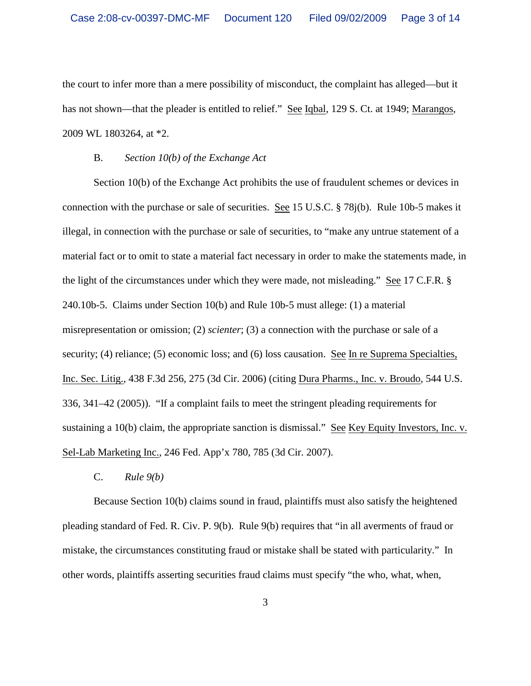the court to infer more than a mere possibility of misconduct, the complaint has alleged—but it has not shown—that the pleader is entitled to relief." See Iqbal, 129 S. Ct. at 1949; Marangos, 2009 WL 1803264, at \*2.

### B. *Section 10(b) of the Exchange Act*

Section 10(b) of the Exchange Act prohibits the use of fraudulent schemes or devices in connection with the purchase or sale of securities. See 15 U.S.C. § 78j(b). Rule 10b-5 makes it illegal, in connection with the purchase or sale of securities, to "make any untrue statement of a material fact or to omit to state a material fact necessary in order to make the statements made, in the light of the circumstances under which they were made, not misleading." See 17 C.F.R. § 240.10b-5. Claims under Section 10(b) and Rule 10b-5 must allege: (1) a material misrepresentation or omission; (2) *scienter*; (3) a connection with the purchase or sale of a security; (4) reliance; (5) economic loss; and (6) loss causation. See In re Suprema Specialties, Inc. Sec. Litig., 438 F.3d 256, 275 (3d Cir. 2006) (citing Dura Pharms., Inc. v. Broudo, 544 U.S. 336, 341–42 (2005)). "If a complaint fails to meet the stringent pleading requirements for sustaining a 10(b) claim, the appropriate sanction is dismissal." See Key Equity Investors, Inc. v. Sel-Lab Marketing Inc., 246 Fed. App'x 780, 785 (3d Cir. 2007).

C. *Rule 9(b)*

Because Section 10(b) claims sound in fraud, plaintiffs must also satisfy the heightened pleading standard of Fed. R. Civ. P. 9(b). Rule 9(b) requires that "in all averments of fraud or mistake, the circumstances constituting fraud or mistake shall be stated with particularity." In other words, plaintiffs asserting securities fraud claims must specify "the who, what, when,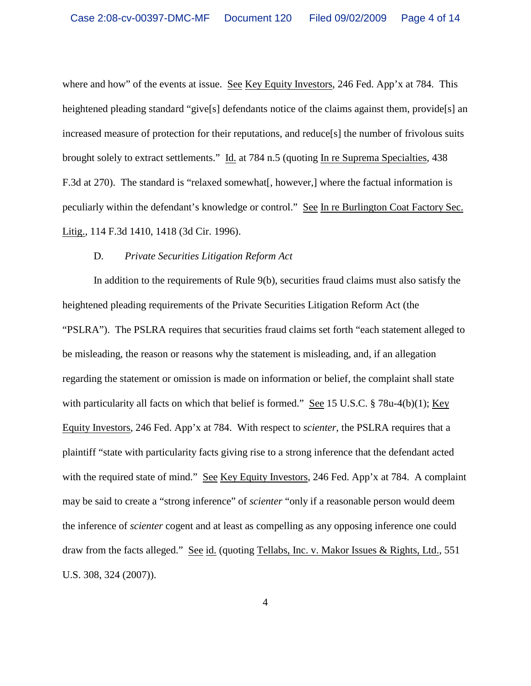where and how" of the events at issue. See Key Equity Investors, 246 Fed. App'x at 784. This heightened pleading standard "give<sup>[s]</sup> defendants notice of the claims against them, provide<sup>[s]</sup> an increased measure of protection for their reputations, and reduce[s] the number of frivolous suits brought solely to extract settlements." Id. at 784 n.5 (quoting In re Suprema Specialties, 438 F.3d at 270). The standard is "relaxed somewhat[, however,] where the factual information is peculiarly within the defendant's knowledge or control." See In re Burlington Coat Factory Sec. Litig., 114 F.3d 1410, 1418 (3d Cir. 1996).

#### D. *Private Securities Litigation Reform Act*

In addition to the requirements of Rule 9(b), securities fraud claims must also satisfy the heightened pleading requirements of the Private Securities Litigation Reform Act (the "PSLRA"). The PSLRA requires that securities fraud claims set forth "each statement alleged to be misleading, the reason or reasons why the statement is misleading, and, if an allegation regarding the statement or omission is made on information or belief, the complaint shall state with particularity all facts on which that belief is formed." See 15 U.S.C. § 78u-4(b)(1); Key Equity Investors, 246 Fed. App'x at 784. With respect to *scienter*, the PSLRA requires that a plaintiff "state with particularity facts giving rise to a strong inference that the defendant acted with the required state of mind." See Key Equity Investors, 246 Fed. App'x at 784. A complaint may be said to create a "strong inference" of *scienter* "only if a reasonable person would deem the inference of *scienter* cogent and at least as compelling as any opposing inference one could draw from the facts alleged." See id. (quoting Tellabs, Inc. v. Makor Issues & Rights, Ltd., 551 U.S. 308, 324 (2007)).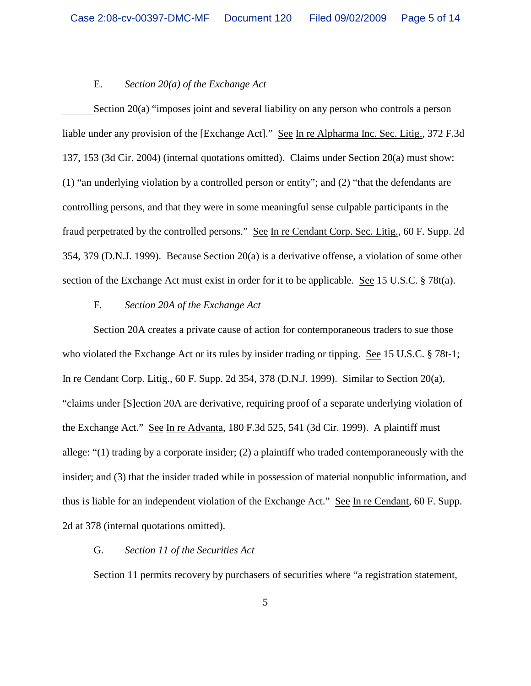#### E. *Section 20(a) of the Exchange Act*

Section 20(a) "imposes joint and several liability on any person who controls a person liable under any provision of the [Exchange Act]." See In re Alpharma Inc. Sec. Litig., 372 F.3d 137, 153 (3d Cir. 2004) (internal quotations omitted). Claims under Section 20(a) must show: (1) "an underlying violation by a controlled person or entity"; and (2) "that the defendants are controlling persons, and that they were in some meaningful sense culpable participants in the fraud perpetrated by the controlled persons." See In re Cendant Corp. Sec. Litig., 60 F. Supp. 2d 354, 379 (D.N.J. 1999). Because Section 20(a) is a derivative offense, a violation of some other section of the Exchange Act must exist in order for it to be applicable. See 15 U.S.C. § 78t(a).

## F. *Section 20A of the Exchange Act*

Section 20A creates a private cause of action for contemporaneous traders to sue those who violated the Exchange Act or its rules by insider trading or tipping. See 15 U.S.C. § 78t-1; In re Cendant Corp. Litig., 60 F. Supp. 2d 354, 378 (D.N.J. 1999). Similar to Section 20(a), "claims under [S]ection 20A are derivative, requiring proof of a separate underlying violation of the Exchange Act." See In re Advanta, 180 F.3d 525, 541 (3d Cir. 1999). A plaintiff must allege: "(1) trading by a corporate insider; (2) a plaintiff who traded contemporaneously with the insider; and (3) that the insider traded while in possession of material nonpublic information, and thus is liable for an independent violation of the Exchange Act." See In re Cendant, 60 F. Supp. 2d at 378 (internal quotations omitted).

## G. *Section 11 of the Securities Act*

Section 11 permits recovery by purchasers of securities where "a registration statement,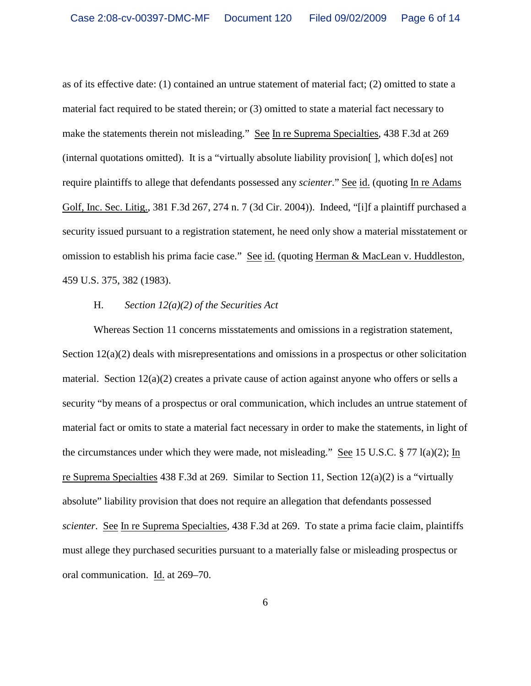as of its effective date: (1) contained an untrue statement of material fact; (2) omitted to state a material fact required to be stated therein; or (3) omitted to state a material fact necessary to make the statements therein not misleading." See In re Suprema Specialties, 438 F.3d at 269 (internal quotations omitted). It is a "virtually absolute liability provision[ ], which do[es] not require plaintiffs to allege that defendants possessed any *scienter*." See id. (quoting In re Adams Golf, Inc. Sec. Litig., 381 F.3d 267, 274 n. 7 (3d Cir. 2004)). Indeed, "[i]f a plaintiff purchased a security issued pursuant to a registration statement, he need only show a material misstatement or omission to establish his prima facie case." See id. (quoting Herman & MacLean v. Huddleston, 459 U.S. 375, 382 (1983).

# H. *Section 12(a)(2) of the Securities Act*

Whereas Section 11 concerns misstatements and omissions in a registration statement, Section 12(a)(2) deals with misrepresentations and omissions in a prospectus or other solicitation material. Section  $12(a)(2)$  creates a private cause of action against anyone who offers or sells a security "by means of a prospectus or oral communication, which includes an untrue statement of material fact or omits to state a material fact necessary in order to make the statements, in light of the circumstances under which they were made, not misleading." See 15 U.S.C. § 77 l(a)(2); In re Suprema Specialties 438 F.3d at 269. Similar to Section 11, Section 12(a)(2) is a "virtually absolute" liability provision that does not require an allegation that defendants possessed *scienter*. See In re Suprema Specialties, 438 F.3d at 269. To state a prima facie claim, plaintiffs must allege they purchased securities pursuant to a materially false or misleading prospectus or oral communication. Id. at 269–70.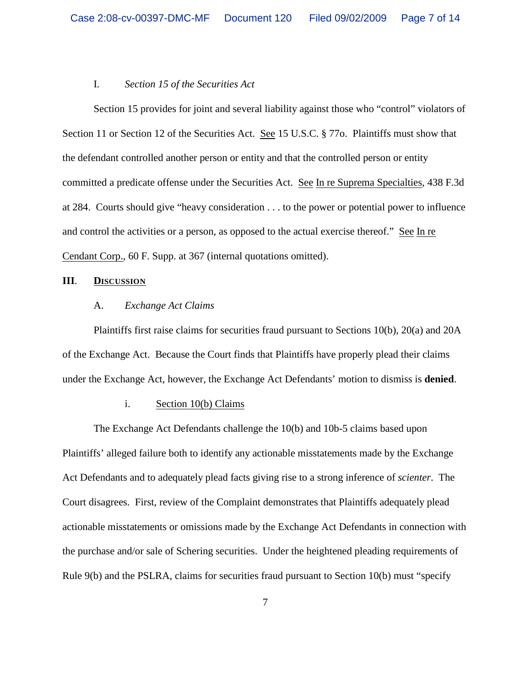#### I. *Section 15 of the Securities Act*

Section 15 provides for joint and several liability against those who "control" violators of Section 11 or Section 12 of the Securities Act. See 15 U.S.C. § 770. Plaintiffs must show that the defendant controlled another person or entity and that the controlled person or entity committed a predicate offense under the Securities Act. See In re Suprema Specialties, 438 F.3d at 284. Courts should give "heavy consideration . . . to the power or potential power to influence and control the activities or a person, as opposed to the actual exercise thereof." See In re Cendant Corp., 60 F. Supp. at 367 (internal quotations omitted).

#### **III**. **DISCUSSION**

# A. *Exchange Act Claims*

Plaintiffs first raise claims for securities fraud pursuant to Sections 10(b), 20(a) and 20A of the Exchange Act. Because the Court finds that Plaintiffs have properly plead their claims under the Exchange Act, however, the Exchange Act Defendants' motion to dismiss is **denied**.

## i. Section 10(b) Claims

The Exchange Act Defendants challenge the 10(b) and 10b-5 claims based upon Plaintiffs' alleged failure both to identify any actionable misstatements made by the Exchange Act Defendants and to adequately plead facts giving rise to a strong inference of *scienter*. The Court disagrees. First, review of the Complaint demonstrates that Plaintiffs adequately plead actionable misstatements or omissions made by the Exchange Act Defendants in connection with the purchase and/or sale of Schering securities. Under the heightened pleading requirements of Rule 9(b) and the PSLRA, claims for securities fraud pursuant to Section 10(b) must "specify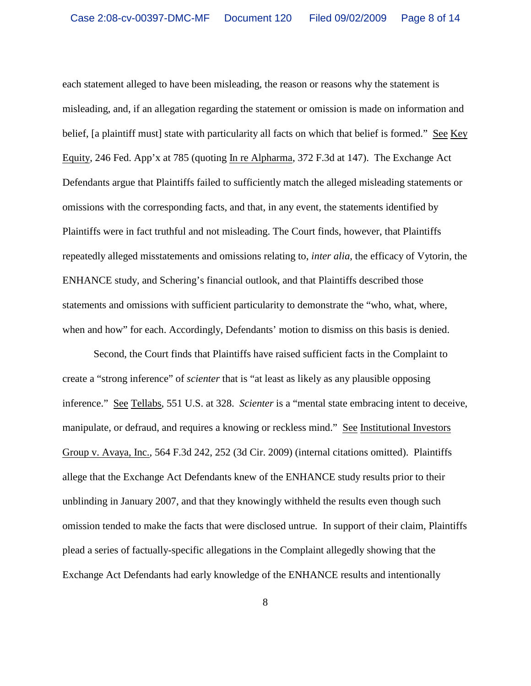each statement alleged to have been misleading, the reason or reasons why the statement is misleading, and, if an allegation regarding the statement or omission is made on information and belief, [a plaintiff must] state with particularity all facts on which that belief is formed." See Key Equity, 246 Fed. App'x at 785 (quoting In re Alpharma, 372 F.3d at 147). The Exchange Act Defendants argue that Plaintiffs failed to sufficiently match the alleged misleading statements or omissions with the corresponding facts, and that, in any event, the statements identified by Plaintiffs were in fact truthful and not misleading. The Court finds, however, that Plaintiffs repeatedly alleged misstatements and omissions relating to, *inter alia*, the efficacy of Vytorin, the ENHANCE study, and Schering's financial outlook, and that Plaintiffs described those statements and omissions with sufficient particularity to demonstrate the "who, what, where, when and how" for each. Accordingly, Defendants' motion to dismiss on this basis is denied.

Second, the Court finds that Plaintiffs have raised sufficient facts in the Complaint to create a "strong inference" of *scienter* that is "at least as likely as any plausible opposing inference." See Tellabs, 551 U.S. at 328. *Scienter* is a "mental state embracing intent to deceive, manipulate, or defraud, and requires a knowing or reckless mind." See Institutional Investors Group v. Avaya, Inc., 564 F.3d 242, 252 (3d Cir. 2009) (internal citations omitted). Plaintiffs allege that the Exchange Act Defendants knew of the ENHANCE study results prior to their unblinding in January 2007, and that they knowingly withheld the results even though such omission tended to make the facts that were disclosed untrue. In support of their claim, Plaintiffs plead a series of factually-specific allegations in the Complaint allegedly showing that the Exchange Act Defendants had early knowledge of the ENHANCE results and intentionally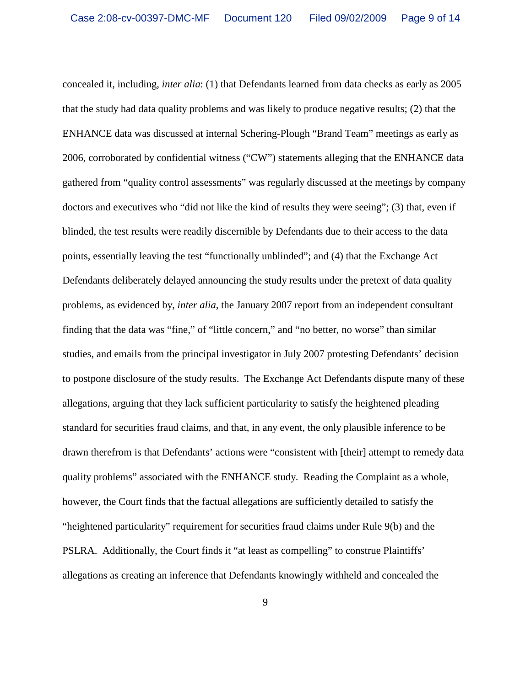concealed it, including, *inter alia*: (1) that Defendants learned from data checks as early as 2005 that the study had data quality problems and was likely to produce negative results; (2) that the ENHANCE data was discussed at internal Schering-Plough "Brand Team" meetings as early as 2006, corroborated by confidential witness ("CW") statements alleging that the ENHANCE data gathered from "quality control assessments" was regularly discussed at the meetings by company doctors and executives who "did not like the kind of results they were seeing"; (3) that, even if blinded, the test results were readily discernible by Defendants due to their access to the data points, essentially leaving the test "functionally unblinded"; and (4) that the Exchange Act Defendants deliberately delayed announcing the study results under the pretext of data quality problems, as evidenced by, *inter alia*, the January 2007 report from an independent consultant finding that the data was "fine," of "little concern," and "no better, no worse" than similar studies, and emails from the principal investigator in July 2007 protesting Defendants' decision to postpone disclosure of the study results. The Exchange Act Defendants dispute many of these allegations, arguing that they lack sufficient particularity to satisfy the heightened pleading standard for securities fraud claims, and that, in any event, the only plausible inference to be drawn therefrom is that Defendants' actions were "consistent with [their] attempt to remedy data quality problems" associated with the ENHANCE study. Reading the Complaint as a whole, however, the Court finds that the factual allegations are sufficiently detailed to satisfy the "heightened particularity" requirement for securities fraud claims under Rule 9(b) and the PSLRA. Additionally, the Court finds it "at least as compelling" to construe Plaintiffs' allegations as creating an inference that Defendants knowingly withheld and concealed the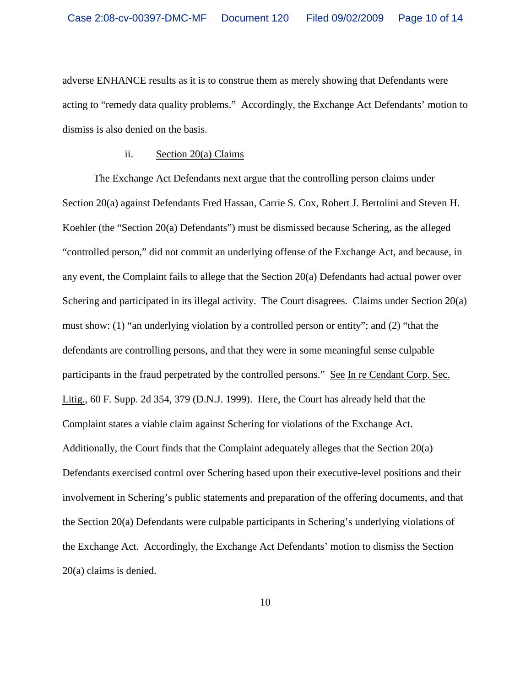adverse ENHANCE results as it is to construe them as merely showing that Defendants were acting to "remedy data quality problems." Accordingly, the Exchange Act Defendants' motion to dismiss is also denied on the basis.

## ii. Section 20(a) Claims

The Exchange Act Defendants next argue that the controlling person claims under Section 20(a) against Defendants Fred Hassan, Carrie S. Cox, Robert J. Bertolini and Steven H. Koehler (the "Section 20(a) Defendants") must be dismissed because Schering, as the alleged "controlled person," did not commit an underlying offense of the Exchange Act, and because, in any event, the Complaint fails to allege that the Section 20(a) Defendants had actual power over Schering and participated in its illegal activity. The Court disagrees. Claims under Section 20(a) must show: (1) "an underlying violation by a controlled person or entity"; and (2) "that the defendants are controlling persons, and that they were in some meaningful sense culpable participants in the fraud perpetrated by the controlled persons." See In re Cendant Corp. Sec. Litig., 60 F. Supp. 2d 354, 379 (D.N.J. 1999). Here, the Court has already held that the Complaint states a viable claim against Schering for violations of the Exchange Act. Additionally, the Court finds that the Complaint adequately alleges that the Section 20(a) Defendants exercised control over Schering based upon their executive-level positions and their involvement in Schering's public statements and preparation of the offering documents, and that the Section 20(a) Defendants were culpable participants in Schering's underlying violations of the Exchange Act. Accordingly, the Exchange Act Defendants' motion to dismiss the Section 20(a) claims is denied.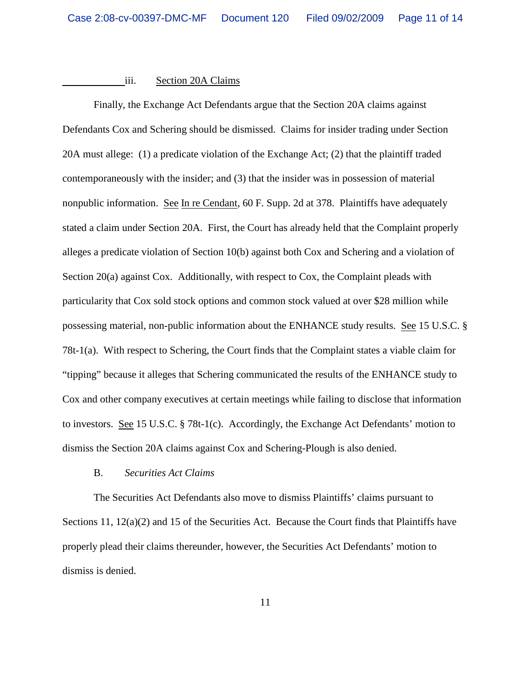### iii. Section 20A Claims

Finally, the Exchange Act Defendants argue that the Section 20A claims against Defendants Cox and Schering should be dismissed. Claims for insider trading under Section 20A must allege: (1) a predicate violation of the Exchange Act; (2) that the plaintiff traded contemporaneously with the insider; and (3) that the insider was in possession of material nonpublic information. See In re Cendant, 60 F. Supp. 2d at 378. Plaintiffs have adequately stated a claim under Section 20A. First, the Court has already held that the Complaint properly alleges a predicate violation of Section 10(b) against both Cox and Schering and a violation of Section 20(a) against Cox. Additionally, with respect to Cox, the Complaint pleads with particularity that Cox sold stock options and common stock valued at over \$28 million while possessing material, non-public information about the ENHANCE study results. See 15 U.S.C. § 78t-1(a). With respect to Schering, the Court finds that the Complaint states a viable claim for "tipping" because it alleges that Schering communicated the results of the ENHANCE study to Cox and other company executives at certain meetings while failing to disclose that information to investors. See 15 U.S.C. § 78t-1(c). Accordingly, the Exchange Act Defendants' motion to dismiss the Section 20A claims against Cox and Schering-Plough is also denied.

### B. *Securities Act Claims*

The Securities Act Defendants also move to dismiss Plaintiffs' claims pursuant to Sections 11, 12(a)(2) and 15 of the Securities Act. Because the Court finds that Plaintiffs have properly plead their claims thereunder, however, the Securities Act Defendants' motion to dismiss is denied.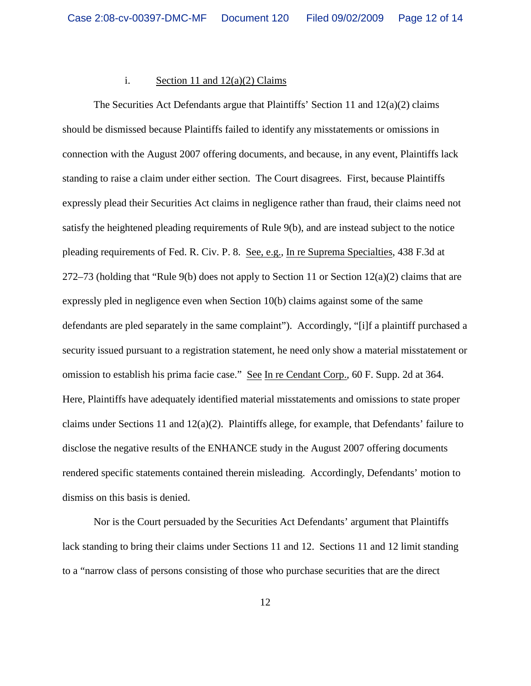## i. Section 11 and  $12(a)(2)$  Claims

The Securities Act Defendants argue that Plaintiffs' Section 11 and  $12(a)(2)$  claims should be dismissed because Plaintiffs failed to identify any misstatements or omissions in connection with the August 2007 offering documents, and because, in any event, Plaintiffs lack standing to raise a claim under either section. The Court disagrees. First, because Plaintiffs expressly plead their Securities Act claims in negligence rather than fraud, their claims need not satisfy the heightened pleading requirements of Rule 9(b), and are instead subject to the notice pleading requirements of Fed. R. Civ. P. 8. See, e.g., In re Suprema Specialties, 438 F.3d at 272–73 (holding that "Rule 9(b) does not apply to Section 11 or Section  $12(a)(2)$  claims that are expressly pled in negligence even when Section 10(b) claims against some of the same defendants are pled separately in the same complaint"). Accordingly, "[i]f a plaintiff purchased a security issued pursuant to a registration statement, he need only show a material misstatement or omission to establish his prima facie case." See In re Cendant Corp., 60 F. Supp. 2d at 364. Here, Plaintiffs have adequately identified material misstatements and omissions to state proper claims under Sections 11 and 12(a)(2). Plaintiffs allege, for example, that Defendants' failure to disclose the negative results of the ENHANCE study in the August 2007 offering documents rendered specific statements contained therein misleading. Accordingly, Defendants' motion to dismiss on this basis is denied.

Nor is the Court persuaded by the Securities Act Defendants' argument that Plaintiffs lack standing to bring their claims under Sections 11 and 12. Sections 11 and 12 limit standing to a "narrow class of persons consisting of those who purchase securities that are the direct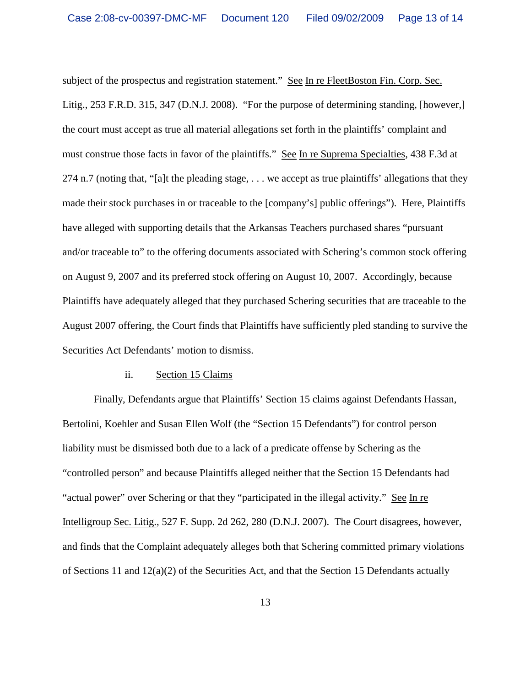subject of the prospectus and registration statement." See In re FleetBoston Fin. Corp. Sec. Litig., 253 F.R.D. 315, 347 (D.N.J. 2008). "For the purpose of determining standing, [however,] the court must accept as true all material allegations set forth in the plaintiffs' complaint and must construe those facts in favor of the plaintiffs." See In re Suprema Specialties, 438 F.3d at 274 n.7 (noting that, "[a]t the pleading stage, . . . we accept as true plaintiffs' allegations that they made their stock purchases in or traceable to the [company's] public offerings"). Here, Plaintiffs have alleged with supporting details that the Arkansas Teachers purchased shares "pursuant and/or traceable to" to the offering documents associated with Schering's common stock offering on August 9, 2007 and its preferred stock offering on August 10, 2007. Accordingly, because Plaintiffs have adequately alleged that they purchased Schering securities that are traceable to the August 2007 offering, the Court finds that Plaintiffs have sufficiently pled standing to survive the Securities Act Defendants' motion to dismiss.

### ii. Section 15 Claims

Finally, Defendants argue that Plaintiffs' Section 15 claims against Defendants Hassan, Bertolini, Koehler and Susan Ellen Wolf (the "Section 15 Defendants") for control person liability must be dismissed both due to a lack of a predicate offense by Schering as the "controlled person" and because Plaintiffs alleged neither that the Section 15 Defendants had "actual power" over Schering or that they "participated in the illegal activity." See In re Intelligroup Sec. Litig., 527 F. Supp. 2d 262, 280 (D.N.J. 2007). The Court disagrees, however, and finds that the Complaint adequately alleges both that Schering committed primary violations of Sections 11 and 12(a)(2) of the Securities Act, and that the Section 15 Defendants actually